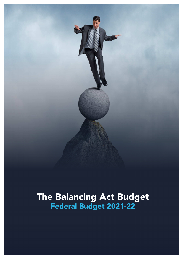

# The Balancing Act Budget<br>Federal Budget 2021-22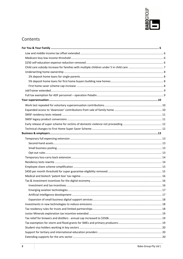

## Contents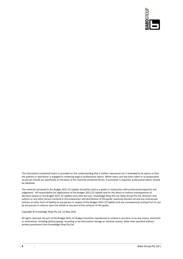

The information contained herein is provided on the understanding that it neither represents nor is intended to be advice or that the authors or distributor is engaged in rendering legal or professional advice. Whilst every care has been taken in its preparation no person should act specifically on the basis of the material contained herein. If assistance is required, professional advice should be obtained.

The material contained in the Budget 2021-22 Update should be used as a guide in conjunction with professional expertise and judgement. All responsibility for applications of the Budget 2021-22 Update and for the direct or indirect consequences of decisions based on the Budget 2021-22 Update rests with the user. Knowledge Shop Pty Ltd, Babo Group Pty Ltd, directors and authors or any other person involved in the preparation and distribution of this guide, expressly disclaim all and any contractual, tortious or other form of liability to any person in respect of the Budget 2021-22 Update and any consequences arising from its use by any person in reliance upon the whole or any part of the contents of this guide.

#### Copyright © Knowledge Shop Pty Ltd. 12 May 2021

All rights reserved. No part of the Budget 2021-22 Budget should be reproduced or utilised in any form or by any means, electronic or mechanical, including photocopying, recording or by information storage or retrieval system, other than specified without written permission from Knowledge Shop Pty Ltd.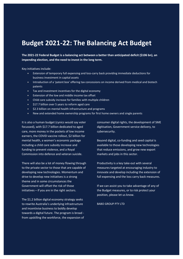## **Budget 2021-22: The Balancing Act Budget**

**The 2021-22 Federal Budget is a balancing act between a better than anticipated deficit (\$106 bn), an impending election, and the need to invest in the long term.** 

Key initiatives include:

- Extension of temporary full expensing and loss-carry back providing immediate deductions for business investment in capital assets
- Introduction of a 'patent box' offering tax concessions on income derived from medical and biotech patents
- Tax and investment incentives for the digital economy
- Extension of the low and middle income tax offset
- Child care subsidy increase for families with multiple children
- **\$17.7 billion over 5 years to reform aged care**
- $\bullet$  \$2.3 billion on mental health infrastructure and programs
- New and extended home ownership programs for first home owners and single parents

It is also a human budget (cynics would say voter focussed), with \$17.7 billion dedicated to aged care, more money in the pockets of low income earners, the COVID vaccine rollout, \$2 billion for mental health, a women's economic package including a child care subsidy increase and funding to prevent violence, and a Royal Commission into defence and veteran suicide.

There will also be a lot of money flowing through to the private sector to those that are capable of developing new technologies. Momentum and drive to develop new initiatives is a strong theme and in some circumstances the Government will offset the risk of those initiatives – if you are in the right sectors.

The \$1.2 billion digital economy strategy seeks to rewrite Australia's underlying infrastructure and incentivise business to boldly develop towards a digital future. The program is broad from upskilling the workforce, the expansion of consumer digital rights, the development of SME digitisation, Government service delivery, to cybersecurity.

Beyond digital, co-funding and seed capital is available to those developing new technologies that reduce emissions, and grow new export markets and jobs in this sector.

Productivity is a key take-out with several measures targeted at encouraging industry to innovate and develop including the extension of full expensing and the loss carry back measures.

If we can assist you to take advantage of any of the Budget measures, or to risk protect your position, please let us know.

BABO GROUP PTY LTD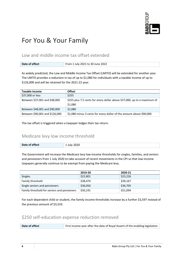

# For You & Your Family

## Low and middle income tax offset extended

| Date of effect | From 1 July 2021 to 30 June 2022 |
|----------------|----------------------------------|

As widely predicted, the Low and Middle Income Tax Offset (LMITO) will be extended for another year. The LMITO provides a reduction in tax of up to \$1,080 for individuals with a taxable income of up to \$126,000 and will be retained for the 2021-22 year.

| Taxable income                 | <b>Offset</b>                                                            |
|--------------------------------|--------------------------------------------------------------------------|
| \$37,000 or less               | \$255                                                                    |
| Between \$37,001 and \$48,000  | \$255 plus 7.5 cents for every dollar above \$37,000, up to a maximum of |
|                                | \$1,080                                                                  |
| Between \$48,001 and \$90,000  | \$1,080                                                                  |
| Between \$90,001 and \$126,000 | \$1,080 minus 3 cents for every dollar of the amount above \$90,000      |

The tax offset is triggered when a taxpayer lodges their tax return.

## Medicare levy low income threshold

| Date of effect | ንበጋቢ<br>lulv<br>23 J W I |
|----------------|--------------------------|

The Government will increase the Medicare levy low-income thresholds for singles, families, and seniors and pensioners from 1 July 2020 to take account of recent movements in the CPI so that low-income taxpayers generally continue to be exempt from paying the Medicare levy.

|                                             | 2019-20  | 2020-21  |
|---------------------------------------------|----------|----------|
| <b>Singles</b>                              | \$22,801 | \$23,226 |
| Family threshold                            | \$38,474 | \$39,167 |
| Single seniors and pensioners               | \$36,056 | \$36,705 |
| Family threshold for seniors and pensioners | \$50,191 | \$51,094 |

For each dependent child or student, the family income thresholds increase by a further \$3,597 instead of the previous amount of \$3,533.

## \$250 self-education expense reduction removed

| Date of effect | First income year after the date of Royal Assent of the enabling legislation |
|----------------|------------------------------------------------------------------------------|
|                |                                                                              |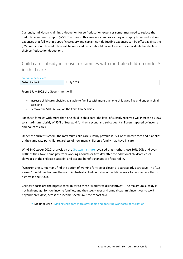Currently, individuals claiming a deduction for self-education expenses sometimes need to reduce the deductible amount by up to \$250. The rules in this area are complex as they only apply to self-education expenses that fall within a specific category and certain non-deductible expenses can be offset against the \$250 reduction. This reduction will be removed, which should make it easier for individuals to calculate their self-education deductions.

## Child care subsidy increase for families with multiple children under 5 in child care

| <b>Previously announced</b> |             |
|-----------------------------|-------------|
| Date of effect              | 1 July 2022 |

From 1 July 2022 the Government will:

- Increase child care subsidies available to families with more than one child aged five and under in child care, and
- Remove the \$10,560 cap on the Child Care Subsidy.

For those families with more than one child in child care, the level of subsidy received will increase by 30% to a maximum subsidy of 95% of fees paid for their second and subsequent children (tapered by income and hours of care).

Under the current system, the maximum child care subsidy payable is 85% of child care fees and it applies at the same rate per child, regardless of how many children a family may have in care.

Why? In October 2020, analysis by the Grattan Institute revealed that mothers lose 80%, 90% and even 100% of their take-home pay from working a fourth or fifth day after the additional childcare costs, clawback of the childcare subsidy, and tax and benefit changes are factored in.

"Unsurprisingly, not many find the option of working for free or close to it particularly attractive. The "1.5 earner" model has become the norm in Australia. And our rates of part-time work for women are thirdhighest in the OECD.

Childcare costs are the biggest contributor to these "workforce disincentives". The maximum subsidy is not high enough for low-income families, and the steep taper and annual cap limit incentives to work beyond three days, across the income spectrum," the report said.

Media release - Making child care more affordable and boosting workforce participation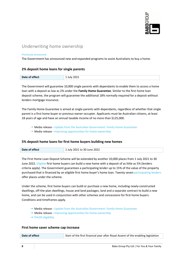

## Underwriting home ownership

#### *Previously announced*

The Government has announced new and expanded programs to assist Australians to buy a home.

#### **2% deposit home loans for single parents**

| Date of effect | 2021<br>lulv |
|----------------|--------------|

The Government will guarantee 10,000 single parents with dependants to enable them to access a home loan with a deposit as low as 2% under the **Family Home Guarantee**. Similar to the first home loan deposit scheme, the program will guarantee the additional 18% normally required for a deposit without lenders mortgage insurance.

The Family Home Guarantee is aimed at single parents with dependants, regardless of whether that single parent is a first home buyer or previous owner-occupier. Applicants must be Australian citizens, at least 18 years of age and have an annual taxable income of no more than \$125,000.

- Media release Update from the Australian Government: Family Home Guarantee
- $\rightarrow$  Media release Improving opportunities for home ownership

#### **5% deposit home loans for first home buyers building new homes**

| Date of effect | 1 July 2021 to 30 June 2022 |
|----------------|-----------------------------|
|----------------|-----------------------------|

The First Home Loan Deposit Scheme will be extended by another 10,000 places from 1 July 2021 to 30 June 2022. Eligible first home buyers can build a new home with a deposit of as little as 5% (lenders criteria apply). The Government guarantees a participating lender up to 15% of the value of the property purchased that is financed by an eligible first home buyer's home loan. Twenty seven participating lenders offer places under the scheme.

Under the scheme, first home buyers can build or purchase a new home, including newly-constructed dwellings, off-the-plan dwellings, house and land packages, land and a separate contract to build a new home, and can be used in conjunction with other schemes and concessions for first home buyers. Conditions and timeframes apply.

- $\rightarrow$  Media release Update from the Australian Government: Family Home Guarantee
- $\rightarrow$  Media release Improving opportunities for home ownership
- $\rightarrow$  FHLDS eligibility

#### **First home saver scheme cap increase**

**Date of effect** Start of the first financial year after Royal Assent of the enabling legislation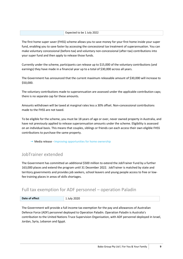| to be 1 July 2022<br>Evnom |
|----------------------------|
|                            |

The first home super saver (FHSS) scheme allows you to save money for your first home inside your super fund, enabling you to save faster by accessing the concessional tax treatment of superannuation. You can make voluntary concessional (before-tax) and voluntary non-concessional (after-tax) contributions into your super fund and then apply to release those funds.

Currently under the scheme, participants can release up to \$15,000 of the voluntary contributions (and earnings) they have made in a financial year up to a total of \$30,000 across all years.

The Government has announced that the current maximum releasable amount of \$30,000 will increase to \$50,000.

The voluntary contributions made to superannuation are assessed under the applicable contribution caps; there is no separate cap for these amounts.

Amounts withdrawn will be taxed at marginal rates less a 30% offset. Non-concessional contributions made to the FHSS are not taxed.

To be eligible for the scheme, you must be 18 years of age or over, never owned property in Australia, and have not previously applied to release superannuation amounts under the scheme. Eligibility is assessed on an individual basis. This means that couples, siblings or friends can each access their own eligible FHSS contributions to purchase the same property.

 $\rightarrow$  Media release - Improving opportunities for home ownership

## JobTrainer extended

The Government has committed an additional \$500 million to extend the JobTrainer Fund by a further 163,000 places and extend the program until 31 December 2022. JobTrainer is matched by state and territory governments and provides job seekers, school leavers and young people access to free or lowfee training places in areas of skills shortages.

## Full tax exemption for ADF personnel – operation Paladin

| Date of effect<br>.) 21 ' |  |
|---------------------------|--|
|---------------------------|--|

The Government will provide a full income tax exemption for the pay and allowances of Australian Defence Force (ADF) personnel deployed to Operation Paladin. Operation Paladin is Australia's contribution to the United Nations Truce Supervision Organisation, with ADF personnel deployed in Israel, Jordan, Syria, Lebanon and Egypt.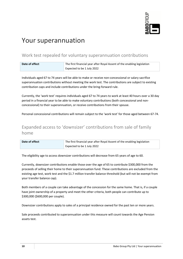

# Your superannuation

## Work test repealed for voluntary superannuation contributions

| Date of effect | The first financial year after Royal Assent of the enabling legislation |
|----------------|-------------------------------------------------------------------------|
|                | Expected to be 1 July 2022                                              |

Individuals aged 67 to 74 years will be able to make or receive non-concessional or salary sacrifice superannuation contributions without meeting the work test. The contributions are subject to existing contribution caps and include contributions under the bring-forward rule.

Currently, the 'work test' requires individuals aged 67 to 74 years to work at least 40 hours over a 30 day period in a financial year to be able to make voluntary contributions (both concessional and nonconcessional) to their superannuation, or receive contributions from their spouse.

Personal concessional contributions will remain subject to the 'work test' for those aged between 67-74.

## Expanded access to 'downsizer' contributions from sale of family home

| Date of effect | The first financial year after Royal Assent of the enabling legislation |
|----------------|-------------------------------------------------------------------------|
|                | Expected to be 1 July 2022                                              |

The eligibility age to access downsizer contributions will decrease from 65 years of age to 60.

Currently, downsizer contributions enable those over the age of 65 to contribute \$300,000 from the proceeds of selling their home to their superannuation fund. These contributions are excluded from the existing age test, work test and the \$1.7 million transfer balance threshold (but will not be exempt from your transfer balance cap).

Both members of a couple can take advantage of the concession for the same home. That is, if a couple have joint ownership of a property and meet the other criteria, both people can contribute up to \$300,000 (\$600,000 per couple).

Downsizer contributions apply to sales of a principal residence owned for the past ten or more years.

Sale proceeds contributed to superannuation under this measure will count towards the Age Pension assets test.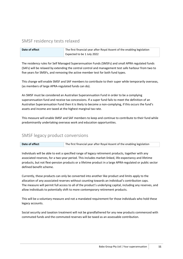## SMSF residency tests relaxed

| Date of effect | The first financial year after Royal Assent of the enabling legislation |
|----------------|-------------------------------------------------------------------------|
|                | Expected to be 1 July 2022                                              |

The residency rules for Self Managed Superannuation Funds (SMSFs) and small APRA regulated funds (SAFs) will be relaxed by extending the central control and management test safe harbour from two to five years for SMSFs, and removing the active member test for both fund types.

This change will enable SMSF and SAF members to contribute to their super while temporarily overseas, (as members of large APRA-regulated funds can do).

An SMSF must be considered an Australian Superannuation Fund in order to be a complying superannuation fund and receive tax concessions. If a super fund fails to meet the definition of an Australian Superannuation Fund then it is likely to become a non-complying, if this occurs the fund's assets and income are taxed at the highest marginal tax rate.

This measure will enable SMSF and SAF members to keep and continue to contribute to their fund while predominantly undertaking overseas work and education opportunities.

## SMSF legacy product conversions

| Date of effect | The first financial year after Royal Assent of the enabling legislation |
|----------------|-------------------------------------------------------------------------|
|                |                                                                         |

Individuals will be able to exit a specified range of legacy retirement products, together with any associated reserves, for a two-year period. This includes market-linked, life-expectancy and lifetime products, but not flexi-pension products or a lifetime product in a large APRA-regulated or public sector defined benefit scheme.

Currently, these products can only be converted into another like product and limits apply to the allocation of any associated reserves without counting towards an individual's contribution caps. The measure will permit full access to all of the product's underlying capital, including any reserves, and allow individuals to potentially shift to more contemporary retirement products.

This will be a voluntary measure and not a mandated requirement for those individuals who hold these legacy accounts.

Social security and taxation treatment will not be grandfathered for any new products commenced with commuted funds and the commuted reserves will be taxed as an assessable contribution.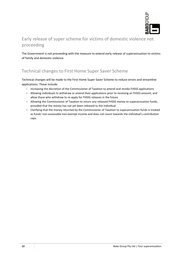

## Early release of super scheme for victims of domestic violence not proceeding

The Government is not proceeding with the measure to extend early release of superannuation to victims of family and domestic violence.

## Technical changes to First Home Super Saver Scheme

Technical changes will be made to the First Home Super Saver Scheme to reduce errors and streamline applications. These include:

- Increasing the discretion of the Commissioner of Taxation to amend and revoke FHSSS applications
- Allowing individuals to withdraw or amend their applications prior to receiving an FHSSS amount, and allow those who withdraw to re-apply for FHSSS releases in the future
- Allowing the Commissioner of Taxation to return any released FHSSS money to superannuation funds, provided that the money has not yet been released to the individual
- Clarifying that the money returned by the Commissioner of Taxation to superannuation funds is treated as funds' non-assessable non-exempt income and does not count towards the individual's contribution caps.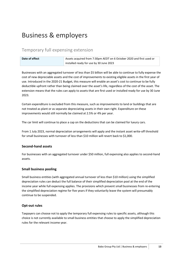# Business & employers

## Temporary full expensing extension

| Date of effect | Assets acquired from 7:30pm AEDT on 6 October 2020 and first used or |
|----------------|----------------------------------------------------------------------|
|                | installed ready for use by 30 June 2023                              |

Businesses with an aggregated turnover of less than \$5 billion will be able to continue to fully expense the cost of new depreciable assets and the cost of improvements to existing eligible assets in the first year of use. Introduced in the 2020-21 Budget, this measure will enable an asset's cost to continue to be fully deductible upfront rather than being claimed over the asset's life, regardless of the cost of the asset. The extension means that the rules can apply to assets that are first used or installed ready for use by 30 June 2023.

Certain expenditure is excluded from this measure, such as improvements to land or buildings that are not treated as plant or as separate depreciating assets in their own right. Expenditure on these improvements would still normally be claimed at 2.5% or 4% per year.

The car limit will continue to place a cap on the deductions that can be claimed for luxury cars.

From 1 July 2023, normal depreciation arrangements will apply and the instant asset write-off threshold for small businesses with turnover of less than \$10 million will revert back to \$1,000.

#### **Second-hand assets**

For businesses with an aggregated turnover under \$50 million, full expensing also applies to second-hand assets.

#### **Small business pooling**

Small business entities (with aggregated annual turnover of less than \$10 million) using the simplified depreciation rules can deduct the full balance of their simplified depreciation pool at the end of the income year while full expensing applies. The provisions which prevent small businesses from re-entering the simplified depreciation regime for five years if they voluntarily leave the system will presumably continue to be suspended.

#### **Opt-out rules**

Taxpayers can choose not to apply the temporary full expensing rules to specific assets, although this choice is not currently available to small business entities that choose to apply the simplified depreciation rules for the relevant income year.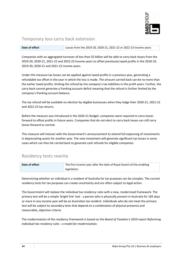

## Temporary loss-carry back extension

| Date of effect | Losses from the 2019-20, 2020-21, 2021-22 or 2022-23 income years |
|----------------|-------------------------------------------------------------------|
|                |                                                                   |

Companies with an aggregated turnover of less than \$5 billion will be able to carry back losses from the 2019-20, 2020-21, 2021-22 and 2022-23 income years to offset previously taxed profits in the 2018-19, 2019-20, 2020-21 and 2021-22 income years.

Under this measure tax losses can be applied against taxed profits in a previous year, generating a refundable tax offset in the year in which the loss is made. The amount carried back can be no more than the earlier taxed profits, limiting the refund by the company's tax liabilities in the profit years. Further, the carry back cannot generate a franking account deficit meaning that the refund is further limited by the company's franking account balance.

The tax refund will be available on election by eligible businesses when they lodge their 2020-21, 2021-22 and 2022-23 tax returns.

Before the measure was introduced in the 2020-21 Budget, companies were required to carry losses forward to offset profits in future years. Companies that do not elect to carry back losses can still carry losses forward as normal.

This measure will interact with the Government's announcement to extend full expensing of investments in depreciating assets for another year. The new investment will generate significant tax losses in some cases which can then be carried back to generate cash refunds for eligible companies.

## Residency tests rewrite

| Date of effect | The first income year after the date of Royal Assent of the enabling |
|----------------|----------------------------------------------------------------------|
|                | $\parallel$ legislation.                                             |

Determining whether an individual is a resident of Australia for tax purposes can be complex. The current residency tests for tax purposes can create uncertainty and are often subject to legal action.

The Government will replace the individual tax residency rules with a new, modernised framework. The primary test will be a simple 'bright line' test - a person who is physically present in Australia for 183 days or more in any income year will be an Australian tax resident. Individuals who do not meet the primary test will be subject to secondary tests that depend on a combination of physical presence and measurable, objective criteria.

The modernisation of the residency framework is based on the *Board of Taxation's 2019 report Reforming individual tax residency rules - a model for modernisation*.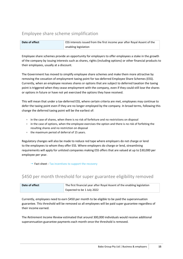## Employee share scheme simplification

| Date of effect | <b>ESS interests issued from the first income year after Royal Assent of the</b> |
|----------------|----------------------------------------------------------------------------------|
|                | enabling legislation                                                             |

Employee share schemes provide an opportunity for employers to offer employees a stake in the growth of the company by issuing interests such as shares, rights (including options) or other financial products to their employees, usually at a discount.

The Government has moved to simplify employee share schemes and make them more attractive by removing the cessation of employment taxing point for tax-deferred Employee Share Schemes (ESS). Currently, when an employee receives shares or options that are subject to deferred taxation the taxing point is triggered when they cease employment with the company, even if they could still lose the shares or options in future or have not yet exercised the options they have received.

This will mean that under a tax-deferred ESS, where certain criteria are met, employees may continue to defer the taxing point even if they are no longer employed by the company. In broad terms, following this change the deferred taxing point will be the earliest of:

- in the case of shares, when there is no risk of forfeiture and no restrictions on disposal
- in the case of options, when the employee exercises the option and there is no risk of forfeiting the resulting shares and no restriction on disposal
- the maximum period of deferral of 15 years.

Regulatory changes will also be made to reduce red tape where employers do not charge or lend to the employees to whom they offer ESS. Where employers do charge or lend, streamlining requirements will apply for unlisted companies making ESS offers that are valued at up to \$30,000 per employee per year.

 $\rightarrow$  Fact sheet - Tax incentives to support the recovery

## \$450 per month threshold for super guarantee eligibility removed

| Date of effect | The first financial year after Royal Assent of the enabling legislation |
|----------------|-------------------------------------------------------------------------|
|                | Expected to be 1 July 2022                                              |

Currently, employees need to earn \$450 per month to be eligible to be paid the superannuation guarantee. This threshold will be removed so all employees will be paid super guarantee regardless of their income earned.

The *Retirement Income Review* estimated that around 300,000 individuals would receive additional superannuation guarantee payments each month once the threshold is removed.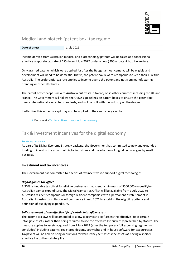

## Medical and biotech 'patent box' tax regime

| Date of effect | .  າ∩າ1 |
|----------------|---------|

Income derived from Australian medical and biotechnology patents will be taxed at a concessional effective corporate tax rate of 17% from 1 July 2022 under a new \$206m 'patent box' tax regime.

Only granted patents, which were applied for after the Budget announcement, will be eligible and development will need to be domestic. That is, the patent box rewards companies to keep their IP within Australia. The preferential tax rate applies to income due to the patent and not from manufacturing, branding or other attributes.

The patent box concept is new to Australia but exists in twenty or so other countries including the UK and France. The Government will follow the OECD's guidelines on patent boxes to ensure the patent box meets internationally accepted standards, and will consult with the industry on the design.

If effective, this same concept may also be applied to the clean energy sector.

 $\rightarrow$  Fact sheet - Tax incentives to support the recovery

## Tax & investment incentives for the digital economy

#### *Previously announced*

As part of its Digital Economy Strategy package, the Government has committed to new and expanded funding to invest in the growth of digital industries and the adoption of digital technologies by small business.

#### **Investment and tax incentives**

The Government has committed to a series of tax incentives to support digital technologies:

#### *Digital games tax offset*

A 30% refundable tax offset for eligible businesses that spend a minimum of \$500,000 on qualifying Australian games expenditure. The Digital Games Tax Offset will be available from 1 July 2022 to Australian resident companies or foreign resident companies with a permanent establishment in Australia. Industry consultation will commence in mid 2021 to establish the eligibility criteria and definition of qualifying expenditure.

#### *Self-assessment of the effective life of certain intangible assets*

The income tax laws will be amended to allow taxpayers to self-assess the effective life of certain intangible assets, rather than being required to use the effective life currently prescribed by statute. The measure applies to assets acquired from 1 July 2023 (after the temporary full expensing regime has concluded) including patents, registered designs, copyrights and in-house software for tax purposes. Taxpayers will be able to bring deductions forward if they self-assess the assets as having a shorter effective life to the statutory life.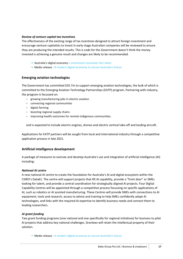#### *Review of venture capital tax incentives*

The effectiveness of the existing range of tax incentives designed to attract foreign investment and encourage venture capitalists to invest in early-stage Australian companies will be reviewed to ensure they are producing the intended results. This is code for the Government doesn't think the money invested is achieving a genuine result and changes are likely to be recommended.

- $\rightarrow$  Australia's digital economy investment incentives fact sheet
- Media release A modern digital economy to secure Australia's future

#### **Emerging aviation technologies**

The Government has committed \$35.7m to support emerging aviation technologies, the bulk of which is committed to the Emerging Aviation Technology Partnerships (EATP) program. Partnering with industry, the program is focussed on:

- growing manufacturing jobs in electric aviation
- connecting regional communities
- digital farming
- boosting regional supply chains
- improving health outcomes for remote Indigenous communities.

and is expected to include electric engines, drones and electric vertical take-off and landing aircraft.

Applications for EATP partners will be sought from local and international industry through a competitive application process in late 2021.

#### **Artificial intelligence development**

A package of measures to oversee and develop Australia's use and integration of artificial intelligence (AI) including:

#### *National AI centre*

A new national AI centre to create the foundation for Australia's AI and digital ecosystem within the CSIRO's Data61. The centre will support projects that lift AI capability, provide a "front door" or SMEs looking for talent, and provide a central coordination for strategically aligned AI projects. Four Digital Capability Centres will be appointed through a competitive process focussing on specific applications of AI, such as robotics or AI assisted manufacturing. These Centres will provide SMEs with connections to AI equipment, tools and research, access to advice and training to help SMEs confidently adopt AI technologies, and links with the required AI expertise to identify business needs and connect them to leading researchers.

#### *AI grant funding*

Two grant funding programs (one national and one specifically for regional initiatives) for business to pilot AI projects that address key national challenges. Grantees will retain the intellectual property of their solution.

Media release - A modern digital economy to secure Australia's future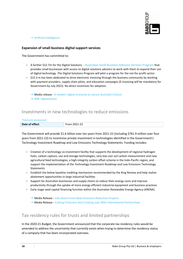

#### → Artificial intelligence

#### **Expansion of small business digital support services**

The Government has committed to:

- A further \$12.7m for the Digital Solutions Australian Small Business Advisory Services Program that provides small businesses with access to digital solutions advisers to work with them to expand their use of digital technology. The Digital Solutions Program will pilot a program for the not-for-profit sector.
- \$15.3 m has been dedicated to drive electronic invoicing through the business community by working with payment providers, supply chain pilots, and education campaigns (E-invoicing will be mandatory for Government by July 2022). No direct incentives for adoption.
	- Media release A modern digital economy to secure Australia's future
	- $\rightarrow$  SME Digitalisation

#### Investments in new technologies to reduce emissions

| <b>Previously announced</b> |              |
|-----------------------------|--------------|
| Date of effect              | From 2021-22 |

The Government will provide \$1.6 billion over ten years from 2021-22 (including \$761.9 million over four years from 2021-22) to incentivise private investment in technologies identified in the Government's Technology Investment Roadmap and Low Emissions Technology Statements. Funding includes:

- Creation of a technology co-investment facility that supports the development of regional hydrogen hubs, carbon capture, use and storage technologies, very low cost soil carbon measurement and new agricultural feed technologies, a high-integrity carbon offset scheme in the Indo-Pacific region, and support the implementation of the Technology Investment Roadmap and Low Emissions Technology Statements
- Establish the below baseline crediting mechanism recommended by the King Review and help realise abatement opportunities in large industrial facilities
- Support for Australian businesses and supply chains to reduce their energy costs and improve productivity through the uptake of more energy efficient industrial equipment and business practices
- Early stage seed capital financing function within the Australian Renewable Energy Agency (ARENA).
	- Media Release Jobs Boost From New Emissions Reduction Projects
	- $\rightarrow$  Media Release Cutting Emissions And Creating Jobs With International Partnerships

#### Tax residency rules for trusts and limited partnerships

In the 2020-21 Budget, the Government announced that the corporate tax residency rules would be amended to address the uncertainty that currently exists when trying to determine the residency status of a company that has been incorporated overseas.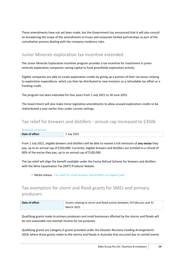These amendments have not yet been made, but the Government has announced that it will also consult on broadening the scope of the amendments to trusts and corporate limited partnerships as part of the consultation process dealing with the company residency rules.

## Junior Minerals exploration tax incentive extended

The Junior Minerals Exploration Incentive program provides a tax incentive for investment in junior minerals exploration companies raising capital to fund greenfields exploration activity.

Eligible companies are able to create exploration credits by giving up a portion of their tax losses relating to exploration expenditure, which can then be distributed to new investors as a refundable tax offset or a franking credit.

The program has been extended for four years from 1 July 2021 to 30 June 2025.

The Government will also make minor legislative amendments to allow unused exploration credits to be redistributed a year earlier than under current settings.

## Tax relief for brewers and distillers - annual cap increased to \$350k

| <b>Previously announced</b> |             |
|-----------------------------|-------------|
| Date of effect              | 1 July 2021 |

From 1 July 2021, eligible brewers and distillers will be able to receive a full remission of **any excise** they pay, up to an annual cap of \$350,000. Currently, eligible brewers and distillers are entitled to a refund of 60% of the excise they pay, up to an annual cap of \$100,000.

The tax relief will align the benefit available under the Excise Refund Scheme for brewers and distillers with the Wine Equalisation Tax (WET) Producer Rebate.

 $\rightarrow$  Media release - Tax relief for small brewers and distillers to support jobs

## Tax exemption for storm and flood grants for SMEs and primary producers

| Date of effect | Grants relating to storm and flood events between 19 February and 31 |
|----------------|----------------------------------------------------------------------|
|                | <b>March 2021</b>                                                    |

Qualifying grants made to primary producers and small businesses affected by the storms and floods will be non-assessable non-exempt income for tax purposes.

Qualifying grants are Category D grants provided under the *Disaster Recovery Funding Arrangements 2018*, where those grants relate to the storms and floods in Australia that occurred due to rainfall events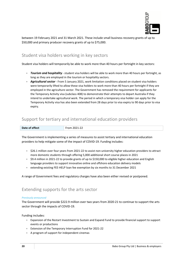

between 19 February 2021 and 31 March 2021. These include small business recovery grants of up to \$50,000 and primary producer recovery grants of up to \$75,000.

## Student visa holders working in key sectors

Student visa holders will temporarily be able to work more than 40 hours per fortnight in key sectors:

- *Tourism and hospitality* student visa holders will be able to work more than 40 hours per fortnight, as long as they are employed in the tourism or hospitality sectors.
- *Agricultural sector* From 5 January 2021, work limitation conditions placed on student visa holders were temporarily lifted to allow these visa holders to work more than 40 hours per fortnight if they are employed in the agriculture sector. The Government has removed the requirement for applicants for the Temporary Activity visa (subclass 408) to demonstrate their attempts to depart Australia if they intend to undertake agricultural work. The period in which a temporary visa holder can apply for the Temporary Activity visa has also been extended from 28 days prior to visa expiry to 90 days prior to visa expiry.

## Support for tertiary and international education providers

| Date of effect | $\overline{\phantom{0}}$<br>- ה |
|----------------|---------------------------------|

The Government is implementing a series of measures to assist tertiary and international education providers to help mitigate some of the impact of COVID-19. Funding includes:

- $\bullet$  \$26.1 million over four years from 2021-22 to assist non-university higher education providers to attract more domestic students through offering 5,000 additional short course places in 2021
- \$9.4 million in 2021-22 to provide grants of up to \$150,000 to eligible higher education and English language providers to support innovative online and offshore education delivery models
- extending existing FEE-HELP loan fee exemption by six months to 31 December 2021

A range of Government fees and regulatory charges have also been either revised or postponed.

## Extending supports for the arts sector

#### *Previously announced*

The Government will provide \$222.9 million over two years from 2020-21 to continue to support the arts sector through the impacts of COVID-19.

Funding includes:

- Expansion of the Restart Investment to Sustain and Expand Fund to provide financial support to support events or productions
- Extension of the Temporary Interruption Fund for 2021-22
- A program of support for independent cinemas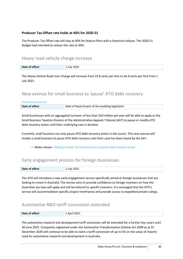#### **Producer Tax Offset rate holds at 40% for 2020-21**

The Producer Tax Offset rate will stay at 40% for feature films with a theatrical release. The 2020-21 Budget had intended to reduce the rate to 30%.

#### Heavy road vehicle charge increase

| .<br>Date of effect | 2021<br>$  -$ |
|---------------------|---------------|

The Heavy Vehicle Road User Charge will increase from 25.8 cents per litre to 26.4 cents per litre from 1 July 2021.

## New avenue for small business to 'pause' ATO debt recovery

| Date of Royal Assent of the enabling legislation<br>Date of effect |
|--------------------------------------------------------------------|
|                                                                    |

Small businesses with an aggregated turnover of less than \$10 million per year will be able to apply to the Small Business Taxation Division of the Administrative Appeals Tribunal (AAT) to pause or modify ATO debt recovery action until their underlying case is decided.

Currently, small business can only pause ATO debt recovery action in the courts. This new avenue will enable a small business to pause ATO debt recovery until their case has been heard by the AAT.

Media release - Making it easier for small business to pause debt recovery action

## Early engagement process for foreign businesses

| Date of effect<br>. | 2021<br>lulv<br>______<br>. . |
|---------------------|-------------------------------|
|---------------------|-------------------------------|

The ATO will introduce a new early engagement service specifically aimed at foreign businesses that are looking to invest in Australia. The service aims to provide confidence to foreign investors on how the Australian tax laws will apply and will be tailored to specific investors. It is envisaged that the ATO's service will accommodation specific project timeframes and provide access to expedited private rulings.

## Automotive R&D tariff concession extended

| Date of effect | 2021<br>Anril<br>______ |
|----------------|-------------------------|

The automotive research and development tariff concession will be extended for a further four years until 30 June 2025. Companies registered under the *Automotive Transformation Scheme Act 2009* as at 31 December 2020 will continue to be able to claim a tariff concession of up to 5% on the value of imports used for automotive research and development in Australia.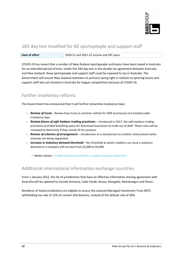

## 183-day test modified for NZ sportspeople and support staff

| Date of effect | 2020-21 and 2021-22 income and FBT years |
|----------------|------------------------------------------|
|                |                                          |

COVID-19 has meant that a number of New Zealand sportspeople and teams have been based in Australia for an extended period of time. Under the 183 day test in the double tax agreement between Australia and New Zealand, these sportspeople and support staff could be exposed to tax in Australia. The Government will ensure New Zealand maintains its primary taxing right in relation to sporting teams and support staff who are located in Australia for league competitions because of COVID-19.

## Further insolvency reforms

The Government has announced that it will further streamline insolvency laws:

- *Review of trusts* Review how trusts (a common vehicle for SME businesses) are treated under insolvency laws.
- *Review future of safe harbour trading provisions* introduced in 2017, the safe harbour trading provisions provided breathing space for distressed businesses to trade out of debt. These rules will be reviewed to determine if they remain fit for purpose.
- *Review of schemes of arrangement*  introduction of a moratorium on creditor enforcement while schemes are being negotiated.
- **Increase in statutory demand threshold** the threshold at which creditors can issue a statutory demand on a company will increase from \$2,000 to \$4,000.

 $\rightarrow$  Media release - Further insolvency reforms to support business dynamism

## Additional international information exchange countries

From 1 January 2022, the list of jurisdictions that have an effective information sharing agreement with Australia will be updated to include Armenia, Cabo Verde, Kenya, Mongolia, Montenegro and Oman.

Residents of listed jurisdictions are eligible to access the reduced Managed Investment Trust (MIT) withholding tax rate of 15% on certain distributions, instead of the default rate of 30%.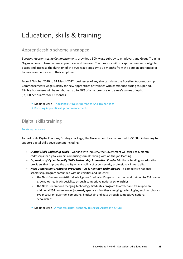# Education, skills & training

## Apprenticeship scheme uncapped

*Boosting Apprenticeship Commencements* provides a 50% wage subsidy to employers and Group Training Organisations to take on new apprentices and trainees. The measure will uncap the number of eligible places and increase the duration of the 50% wage subsidy to 12 months from the date an apprentice or trainee commences with their employer.

From 5 October 2020 to 31 March 2022, businesses of any size can claim the Boosting Apprenticeship Commencements wage subsidy for new apprentices or trainees who commence during this period. Eligible businesses will be reimbursed up to 50% of an apprentice or trainee's wages of up to \$7,000 per quarter for 12 months.

- → Media release Thousands Of New Apprentice And Trainee Jobs
- $\rightarrow$  Boosting Apprenticeship Commencements

## Digital skills training

#### *Previously announced*

As part of its Digital Economy Strategy package, the Government has committed to \$100m in funding to support digital skills development including:

- *Digital Skills Cadetship Trials* working with industry, the Government will trial 4 to 6 month cadetships for digital careers comprising formal training with on-the-job learning.
- *Expansion of Cyber Security Skills Partnership Innovation Fund* Additional funding for education providers that improve the quality or availability of cyber security professionals in Australia.
- **Next Generation Graduates Programs AI & next gen technologies** a competitive national scholarship program cofounded with universities and industry:
	- the Next Generation Artificial Intelligence Graduates Program to attract and train up to 234 homegrown, job-ready AI specialists through competitive national scholarships
	- the Next Generation Emerging Technology Graduates Program to attract and train up to an additional 234 home-grown, job-ready specialists in other emerging technologies, such as robotics, cyber security, quantum computing, blockchain and data through competitive national scholarships.
	- Media release A modern digital economy to secure Australia's future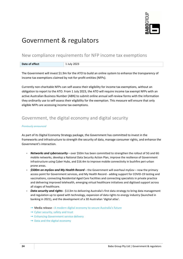

# Government & regulators

## New compliance requirements for NFP income tax exemptions

| Date of effect | 1 July 2023 |
|----------------|-------------|
|                |             |

The Government will invest \$1.9m for the ATO to build an online system to enhance the transparency of income tax exemptions claimed by not-for-profit entities (NFPs).

Currently non-charitable NFPs can self-assess their eligibility for income tax exemptions, without an obligation to report to the ATO. From 1 July 2023, the ATO will require income tax exempt NFPs with an active Australian Business Number (ABN) to submit online annual self-review forms with the information they ordinarily use to self-assess their eligibility for the exemption. This measure will ensure that only eligible NFPs are accessing income tax exemptions.

## Government, the digital economy and digital security

#### *Previously announced*

As part of its Digital Economy Strategy package, the Government has committed to invest in the frameworks and infrastructure to strength the security of data, manage consumer rights, and enhance the Government's interaction.

- Networks and cybersecurity over \$50m has been committed to strengthen the rollout of 5G and 6G mobile networks, develop a National Data Security Action Plan, improve the resilience of Government infrastructure using Cyber Hubs, and \$16.4m to improve mobile connectivity in bushfire peri-urban prone areas.
- *\$500m on myGov and My Health Record*  the Government will overhaul myGov now the primary access point for Government services, and My Health Record - adding support for COVID-19 testing and vaccinations, connecting Residential Aged Care Facilities and connecting specialists in private practice and delivering improved telehealth, emerging virtual healthcare initiatives and digitised support across all stages of healthcare.
- *Data security and rights* \$113m to delivering Australia's first data strategy to bring data management and regulation up to speed with technology, expansion of data rights to energy industry (launched in banking in 2021), and the development of a 3D Australian 'digital atlas'.
	- Media release A modern digital economy to secure Australia's future
	- $\rightarrow$  Cyber security, safety and trust
	- → Enhancing Government service delivery
	- $\rightarrow$  Data and the digital economy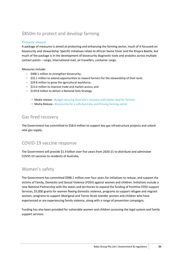## \$850m to protect and develop farming

#### *Previously released*

A package of measures is aimed at protecting and enhancing the farming sector, much of it focussed on biosecurity and stewardship. Specific initiatives relate to African Swine Fever and the Khapra Beetle, but much of the package is in the development of biosecurity diagnostic tools and analytics across multiple contact points – cargo, international mail, air travellers, container cargo.

#### Measures include:

- $\bullet$  \$400.1 million to strengthen biosecurity;
- $\bullet$  \$32.1 million to extend opportunities to reward farmers for the stewardship of their land;
- \$29.8 million to grow the agricultural workforce;
- \$15.0 million to improve trade and market access; and
- $\bullet$  \$129.8 million to deliver a National Soils Strategy.
	- Media release Budget securing Australia's recovery with better deal for farmers
	- $\rightarrow$  Media Release Biosecurity for a safe Australia and thriving farming sector

## Gas fired recovery

The Government has committed to \$58.6 million to support key gas infrastructure projects and unlock new gas supply.

## COVID-19 vaccine response

The Government will provide \$1.9 billion over five years from 2020-21 to distribute and administer COVID-19 vaccines to residents of Australia.

#### Women's safety

The Government has committed \$998.1 million over four years for initiatives to reduce, and support the victims of Family, Domestic and Sexual Violence (FDSV) against women and children. Initiatives include a new National Partnership with the states and territories to expand the funding of frontline FDSV support Services, \$5,000 grants for women fleeing domestic violence, programs to support refugee and migrant women, programs to support Aboriginal and Torres Strait Islander women and children who have experienced or are experiencing family violence, along with a range of prevention campaigns.

Funding has also been provided for vulnerable women and children accessing the legal system and family support services.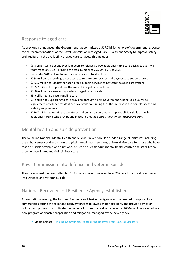

## Response to aged care

As previously announced, the Government has committed a \$17.7 billion whole-of-government response to the recommendations of the Royal Commission into Aged Care Quality and Safety to improve safety and quality and the availability of aged care services. This includes:

- \$6.5 billion will be spent over four years to release 80,000 additional home care packages over two years from 2021-22 – bringing the total number to 275,598 by June 2023.
- Just under \$700 million to improve access and infrastructure
- \$783 million to provide greater access to respite care services and payments to support carers
- \$272.5 million for dedicated face to face support services to navigate the aged care system
- \$365.7 million to support health care within aged care facilities
- \$200 million for a new rating system of aged care providers
- \$3.9 billion to increase front line care
- $\bullet$  \$3.2 billion to support aged care providers through a new Government-funded Basic Daily Fee supplement of \$10 per resident per day, while continuing the 30% increase in the homelessness and viability supplements
- $\bullet$  \$216.7 million to upskill the workforce and enhance nurse leadership and clinical skills through additional nursing scholarships and places in the *Aged Care Transition to Practice Program*

## Mental health and suicide prevention

The \$2 billion National Mental Health and Suicide Prevention Plan funds a range of initiatives including the enhancement and expansion of digital mental health services, universal aftercare for those who have made a suicide attempt, and a network of Head of Health adult mental health centres and satellites to provide coordinated multi-disciplinary care.

## Royal Commission into defence and veteran suicide

The Government has committed to \$174.2 million over two years from 2021-22 for a Royal Commission into Defence and Veteran Suicide.

## National Recovery and Resilience Agency established

A new national agency, the National Recovery and Resilience Agency will be created to support local communities during the relief and recovery phases following major disasters, and provide advice on policies and programs to mitigate the impact of future major disaster events. \$600m will be invested in a new program of disaster preparation and mitigation, managed by the new agency.

Media Release - Helping Communities Rebuild And Recover From Natural Disasters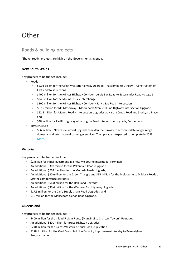# **Other**

## Roads & building projects

'Shovel ready' projects are high on the Government's agenda.

#### **New South Wales**

Key projects to be funded include:

- Roads
	- \$2.03 billion for the Great Western Highway Upgrade Katoomba to Lithgow Construction of East and West Sections
	- \$400 million for the Princes Highway Corridor Jervis Bay Road to Sussex Inlet Road Stage 1
	- \$240 million for the Mount Ousley Interchange
	- \$100 million for the Princes Highway Corridor Jervis Bay Road Intersection
	- \$87.5 million for M5 Motorway Moorebank Avenue-Hume Highway Intersection Upgrade
	- **\$52.8 million for Manns Road Intersection Upgrades at Narara Creek Road and Stockyard Place;** and
	- \$48 million for Pacific Highway Harrington Road Intersection Upgrade, Coopernook.
- Infrastructure
	- \$66 million Newcastle airport upgrade to widen the runway to accommodate longer range domestic and international passenger services. The upgrade is expected to complete in 2023. More.

#### **Victoria**

Key projects to be funded include:

- $\bullet$  \$2 billion for initial investment in a new Melbourne Intermodal Terminal;
- An additional \$307 million for the Pakenham Roads Upgrade;
- An additional \$203.4 million for the Monash Roads Upgrade;
- An additional \$20 million for the Green Triangle and \$15 million for the Melbourne to Mildura Roads of Strategic Importance corridors;
- An additional \$56.8 million for the Hall Road Upgrade;
- An additional \$30.4 million for the Western Port Highway Upgrade;
- \$17.5 million for the Dairy Supply Chain Road Upgrades; and
- $\bullet$  \$10 million for the Mallacoota-Genoa Road Upgrade.

#### **Queensland**

Key projects to be funded include:

- $\bullet$  \$400 million for the Inland Freight Route (Mungindi to Charters Towers) Upgrades
- An additional \$400 million for Bruce Highway Upgrades
- \$240 million for the Cairns Western Arterial Road Duplication
- \* \$178.1 million for the Gold Coast Rail Line Capacity Improvement (Kuraby to Beenleigh) Preconstruction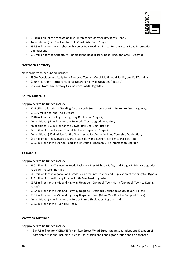

- \$160 million for the Mooloolah River Interchange Upgrade (Packages 1 and 2)
- An additional \$126.6 million for Gold Coast Light Rail Stage 3
- \$35.3 million for the Maryborough-Hervey Bay Road and Pialba-Burrum Heads Road Intersection Upgrade; and
- $\bullet$  \$10 million for the Caboolture Bribie Island Road (Hickey Road-King John Creek) Upgrade.

#### **Northern Territory**

New projects to be funded include:

- $\bullet$  \$300k Development Study for a Proposed Tennant Creek Multimodal Facility and Rail Terminal
- \$150m Northern Territory National Network Highway Upgrades (Phase 2)
- \$173.6m Northern Territory Gas Industry Roads Upgrades

#### **South Australia**

Key projects to be funded include:

- $\bullet$  \$2.6 billion allocation of funding for the North-South Corridor Darlington to Anzac Highway;
- \$161.6 million for the Truro Bypass;
- \$148 million for the Augusta Highway Duplication Stage 2;
- An additional \$64 million for the Strzelecki Track Upgrade Sealing;
- An additional \$60 million for the Gawler Rail Line Electrification;
- \$48 million for the Heysen Tunnel Refit and Upgrade Stage 2
- An additional \$27.6 million for the Overpass at Port Wakefield and Township Duplication;
- **532 million for the Kangaroo Island Road Safety and Bushfire Resilience Package, and**
- \$22.5 million for the Marion Road and Sir Donald Bradman Drive Intersection Upgrade

#### **Tasmania**

Key projects to be funded include:

- \$80 million for the Tasmanian Roads Package Bass Highway Safety and Freight Efficiency Upgrades Package – Future Priorities;
- \$48 million for the Algona Road Grade Separated Interchange and Duplication of the Kingston Bypass;
- \$44 million for the Rokeby Road South Arm Road Upgrades;
- $\bullet$  \$37.8 million for the Midland Highway Upgrade Campbell Town North (Campbell Town to Epping Forest);
- **\$36.4 million for the Midland Highway Upgrade Oatlands (Jericho to South of York Plains);**
- \$35.7 million for the Midland Highway Upgrade Ross (Mona Vale Road to Campbell Town);
- An additional \$24 million for the Port of Burnie Shiploader Upgrade; and
- \$13.2 million for the Huon Link Road.

#### **Western Australia**

Key projects to be funded include:

 \$347.5 million for METRONET: Hamilton Street-Wharf Street Grade Separations and Elevation of Associated Stations, including Queens Park Station and Cannington Station and an enhanced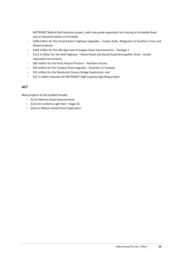METRONET Byford Rail Extension project, with new grade separated rail crossing at Armadale Road and an elevated station at Armadale

- $\bullet$  \$200 million for the Great Eastern Highway Upgrades Coates Gully, Walgoolan to Southern Cross and Ghooli to Benari
- $\bullet$  \$160 million for the WA Agricultural Supply Chain Improvements Package 1
- $\bullet$  \$112.5 million for the Reid Highway Altone Road and Daviot Road-Drumpellier Drive Gradeseparated intersections
- \$85 million for the Perth Airport Precinct Northern Access
- $\bullet$  \$64 million for the Toodyay Road Upgrade Dryandra to Toodyay
- **\$55 million for the Mandurah Estuary Bridge Duplication, and**
- $\bullet$  \$31.5 million towards the METRONET High Capacity Signalling project

#### **ACT**

New projects to be funded include:

- **\$2.5m Beltana Road Improvements**
- **\$132.5m Canberra Light Rail Stage 2A**
- $\bullet$  \$26.5m William Hovell Drive Duplication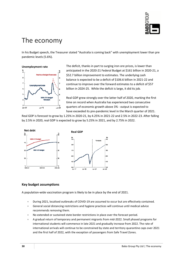

# The economy

In his Budget speech, the Treasurer stated "Australia is coming back" with unemployment lower than pre pandemic levels (5.6%).

**Unemployment rate** 



The deficit, thanks in part to surging iron ore prices, is lower than anticipated in the 2020-21 Federal Budget at \$161 billion in 2020-21, a \$52.7 billion improvement to estimates. The underlying cash balance is expected to be a deficit of \$106.6 billion in 2021-22 and continue to improve over the forward estimates to a deficit of \$57 billion in 2024-25. While the deficit is large, it did its job.

Real GDP grew strongly over the latter half of 2020, marking the first time on record when Australia has experienced two consecutive quarters of economic growth above 3% - output is expected to have exceeded its pre-pandemic level in the March quarter of 2021.

Real GDP is forecast to grow by 1.25% in 2020-21, by 4.25% in 2021-22 and 2.5% in 2022-23. After falling by 2.5% in 2020, real GDP is expected to grow by 5.25% in 2021, and by 2.75% in 2022.



#### **Key budget assumptions**

A population-wide vaccination program is likely to be in place by the end of 2021.

- During 2021, localised outbreaks of COVID-19 are assumed to occur but are effectively contained.
- General social distancing restrictions and hygiene practices will continue until medical advice recommends removing them.
- No extended or sustained state border restrictions in place over the forecast period.
- A gradual return of temporary and permanent migrants from mid-2022. Small phased programs for international students will commence in late 2021 and gradually increase from 2022. The rate of international arrivals will continue to be constrained by state and territory quarantine caps over 2021 and the first half of 2022, with the exception of passengers from Safe Travel Zones.